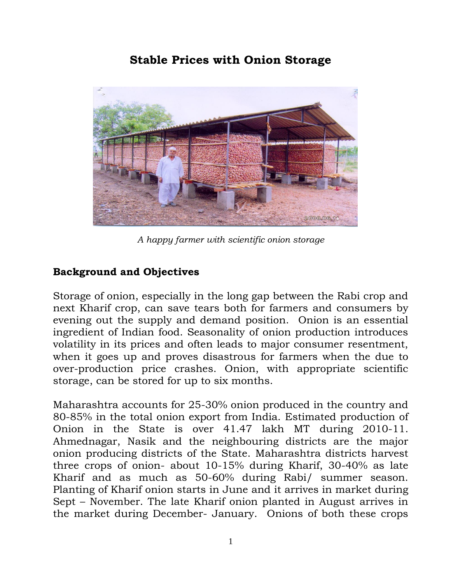# **Stable Prices with Onion Storage**



*A happy farmer with scientific onion storage*

## **Background and Objectives**

Storage of onion, especially in the long gap between the Rabi crop and next Kharif crop, can save tears both for farmers and consumers by evening out the supply and demand position. Onion is an essential ingredient of Indian food. Seasonality of onion production introduces volatility in its prices and often leads to major consumer resentment, when it goes up and proves disastrous for farmers when the due to over-production price crashes. Onion, with appropriate scientific storage, can be stored for up to six months.

Maharashtra accounts for 25-30% onion produced in the country and 80-85% in the total onion export from India. Estimated production of Onion in the State is over 41.47 lakh MT during 2010-11. Ahmednagar, Nasik and the neighbouring districts are the major onion producing districts of the State. Maharashtra districts harvest three crops of onion- about 10-15% during Kharif, 30-40% as late Kharif and as much as 50-60% during Rabi/ summer season. Planting of Kharif onion starts in June and it arrives in market during Sept – November. The late Kharif onion planted in August arrives in the market during December- January. Onions of both these crops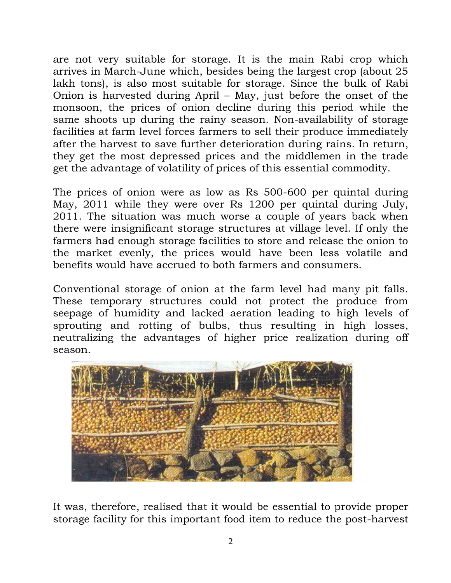are not very suitable for storage. It is the main Rabi crop which arrives in March-June which, besides being the largest crop (about 25 lakh tons), is also most suitable for storage. Since the bulk of Rabi Onion is harvested during April – May, just before the onset of the monsoon, the prices of onion decline during this period while the same shoots up during the rainy season. Non-availability of storage facilities at farm level forces farmers to sell their produce immediately after the harvest to save further deterioration during rains. In return, they get the most depressed prices and the middlemen in the trade get the advantage of volatility of prices of this essential commodity.

The prices of onion were as low as Rs 500-600 per quintal during May, 2011 while they were over Rs 1200 per quintal during July, 2011. The situation was much worse a couple of years back when there were insignificant storage structures at village level. If only the farmers had enough storage facilities to store and release the onion to the market evenly, the prices would have been less volatile and benefits would have accrued to both farmers and consumers.

Conventional storage of onion at the farm level had many pit falls. These temporary structures could not protect the produce from seepage of humidity and lacked aeration leading to high levels of sprouting and rotting of bulbs, thus resulting in high losses, neutralizing the advantages of higher price realization during off season.



It was, therefore, realised that it would be essential to provide proper storage facility for this important food item to reduce the post-harvest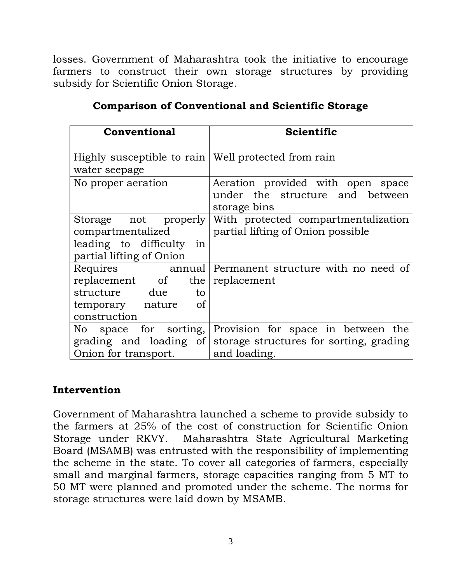losses. Government of Maharashtra took the initiative to encourage farmers to construct their own storage structures by providing subsidy for Scientific Onion Storage.

| <b>Conventional</b>                                   | <b>Scientific</b>                                              |
|-------------------------------------------------------|----------------------------------------------------------------|
|                                                       |                                                                |
| Highly susceptible to rain   Well protected from rain |                                                                |
| water seepage                                         |                                                                |
| No proper aeration                                    | Aeration provided with open space                              |
|                                                       | under the structure and between                                |
|                                                       | storage bins                                                   |
| Storage not properly                                  | With protected compartmentalization                            |
| compartmentalized                                     | partial lifting of Onion possible                              |
| leading to difficulty<br>1n                           |                                                                |
| partial lifting of Onion                              |                                                                |
| Requires<br>annual                                    | Permanent structure with no need of                            |
| replacement of                                        | the replacement                                                |
| structure due<br>to                                   |                                                                |
| <sub>of</sub><br>temporary nature                     |                                                                |
| construction                                          |                                                                |
| No space for sorting,                                 | Provision for space in between the                             |
|                                                       | grading and loading of storage structures for sorting, grading |
| Onion for transport.                                  | and loading.                                                   |

### **Comparison of Conventional and Scientific Storage**

#### **Intervention**

Government of Maharashtra launched a scheme to provide subsidy to the farmers at 25% of the cost of construction for Scientific Onion Storage under RKVY. Maharashtra State Agricultural Marketing Board (MSAMB) was entrusted with the responsibility of implementing the scheme in the state. To cover all categories of farmers, especially small and marginal farmers, storage capacities ranging from 5 MT to 50 MT were planned and promoted under the scheme. The norms for storage structures were laid down by MSAMB.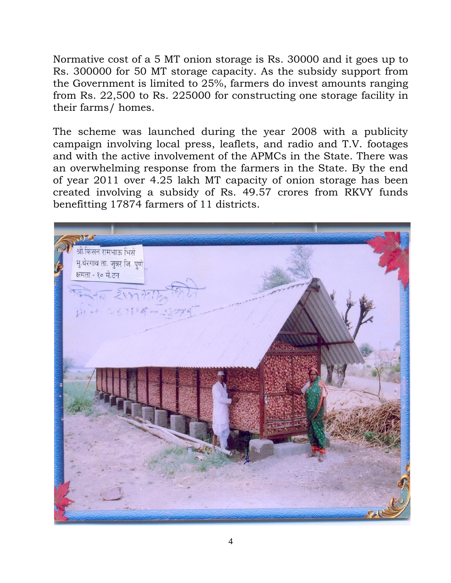Normative cost of a 5 MT onion storage is Rs. 30000 and it goes up to Rs. 300000 for 50 MT storage capacity. As the subsidy support from the Government is limited to 25%, farmers do invest amounts ranging from Rs. 22,500 to Rs. 225000 for constructing one storage facility in their farms/ homes.

The scheme was launched during the year 2008 with a publicity campaign involving local press, leaflets, and radio and T.V. footages and with the active involvement of the APMCs in the State. There was an overwhelming response from the farmers in the State. By the end of year 2011 over 4.25 lakh MT capacity of onion storage has been created involving a subsidy of Rs. 49.57 crores from RKVY funds benefitting 17874 farmers of 11 districts.

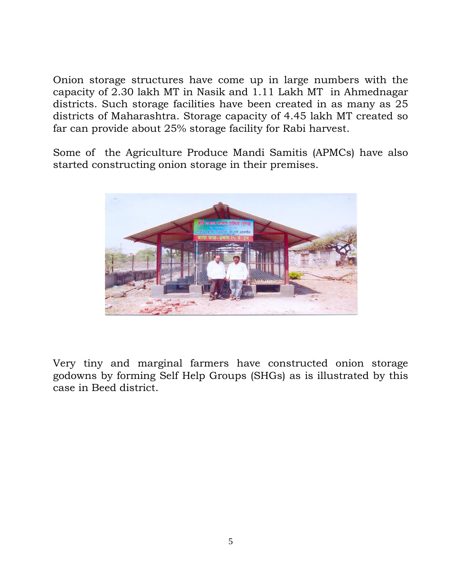Onion storage structures have come up in large numbers with the capacity of 2.30 lakh MT in Nasik and 1.11 Lakh MT in Ahmednagar districts. Such storage facilities have been created in as many as 25 districts of Maharashtra. Storage capacity of 4.45 lakh MT created so far can provide about 25% storage facility for Rabi harvest.

Some of the Agriculture Produce Mandi Samitis (APMCs) have also started constructing onion storage in their premises.



Very tiny and marginal farmers have constructed onion storage godowns by forming Self Help Groups (SHGs) as is illustrated by this case in Beed district.